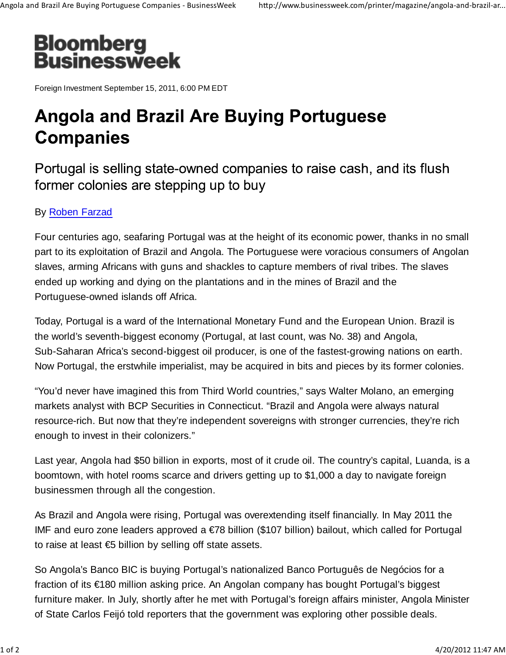

Foreign Investment September 15, 2011, 6:00 PM EDT

## **Angola and Brazil Are Buying Portuguese Companies**

Portugal is selling state-owned companies to raise cash, and its flush former colonies are stepping up to buy

## By Roben Farzad

Four centuries ago, seafaring Portugal was at the height of its economic power, thanks in no small part to its exploitation of Brazil and Angola. The Portuguese were voracious consumers of Angolan slaves, arming Africans with guns and shackles to capture members of rival tribes. The slaves ended up working and dying on the plantations and in the mines of Brazil and the Portuguese-owned islands off Africa.

Today, Portugal is a ward of the International Monetary Fund and the European Union. Brazil is the world's seventh-biggest economy (Portugal, at last count, was No. 38) and Angola, Sub-Saharan Africa's second-biggest oil producer, is one of the fastest-growing nations on earth. Now Portugal, the erstwhile imperialist, may be acquired in bits and pieces by its former colonies.

"You'd never have imagined this from Third World countries," says Walter Molano, an emerging markets analyst with BCP Securities in Connecticut. "Brazil and Angola were always natural resource-rich. But now that they're independent sovereigns with stronger currencies, they're rich enough to invest in their colonizers."

Last year, Angola had \$50 billion in exports, most of it crude oil. The country's capital, Luanda, is a boomtown, with hotel rooms scarce and drivers getting up to \$1,000 a day to navigate foreign businessmen through all the congestion.

As Brazil and Angola were rising, Portugal was overextending itself financially. In May 2011 the IMF and euro zone leaders approved a  $\epsilon$ 78 billion (\$107 billion) bailout, which called for Portugal to raise at least €5 billion by selling off state assets.

So Angola's Banco BIC is buying Portugal's nationalized Banco Português de Negócios for a fraction of its €180 million asking price. An Angolan company has bought Portugal's biggest furniture maker. In July, shortly after he met with Portugal's foreign affairs minister, Angola Minister of State Carlos Feijó told reporters that the government was exploring other possible deals.